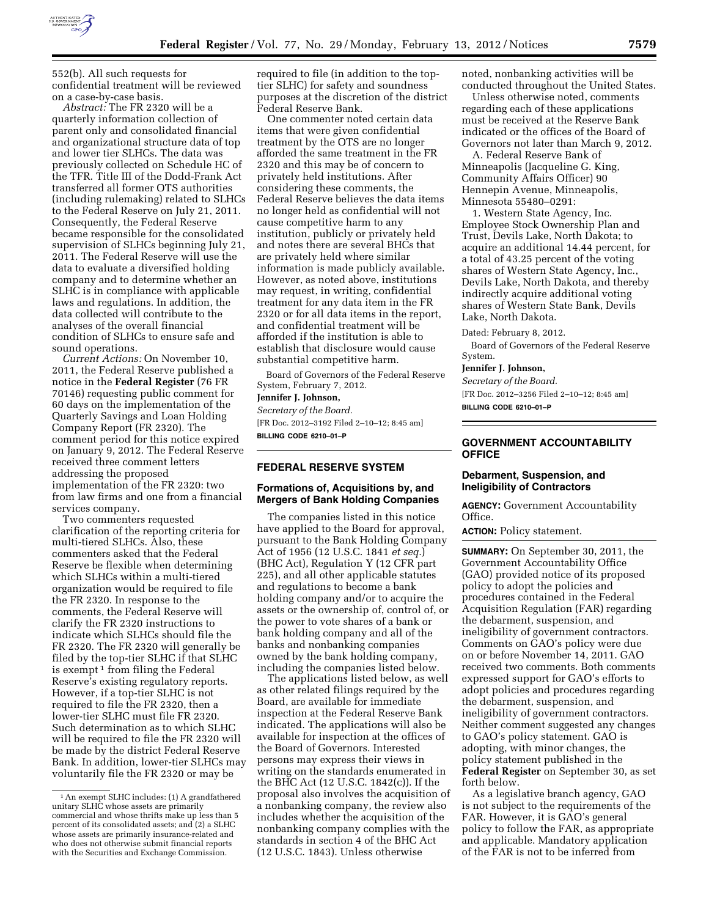

552(b). All such requests for confidential treatment will be reviewed on a case-by-case basis.

*Abstract:* The FR 2320 will be a quarterly information collection of parent only and consolidated financial and organizational structure data of top and lower tier SLHCs. The data was previously collected on Schedule HC of the TFR. Title III of the Dodd-Frank Act transferred all former OTS authorities (including rulemaking) related to SLHCs to the Federal Reserve on July 21, 2011. Consequently, the Federal Reserve became responsible for the consolidated supervision of SLHCs beginning July 21, 2011. The Federal Reserve will use the data to evaluate a diversified holding company and to determine whether an SLHC is in compliance with applicable laws and regulations. In addition, the data collected will contribute to the analyses of the overall financial condition of SLHCs to ensure safe and sound operations.

*Current Actions:* On November 10, 2011, the Federal Reserve published a notice in the **Federal Register** (76 FR 70146) requesting public comment for 60 days on the implementation of the Quarterly Savings and Loan Holding Company Report (FR 2320). The comment period for this notice expired on January 9, 2012. The Federal Reserve received three comment letters addressing the proposed implementation of the FR 2320: two from law firms and one from a financial services company.

Two commenters requested clarification of the reporting criteria for multi-tiered SLHCs. Also, these commenters asked that the Federal Reserve be flexible when determining which SLHCs within a multi-tiered organization would be required to file the FR 2320. In response to the comments, the Federal Reserve will clarify the FR 2320 instructions to indicate which SLHCs should file the FR 2320. The FR 2320 will generally be filed by the top-tier SLHC if that SLHC is exempt<sup> $1$ </sup> from filing the Federal Reserve's existing regulatory reports. However, if a top-tier SLHC is not required to file the FR 2320, then a lower-tier SLHC must file FR 2320. Such determination as to which SLHC will be required to file the FR 2320 will be made by the district Federal Reserve Bank. In addition, lower-tier SLHCs may voluntarily file the FR 2320 or may be

required to file (in addition to the toptier SLHC) for safety and soundness purposes at the discretion of the district Federal Reserve Bank.

One commenter noted certain data items that were given confidential treatment by the OTS are no longer afforded the same treatment in the FR 2320 and this may be of concern to privately held institutions. After considering these comments, the Federal Reserve believes the data items no longer held as confidential will not cause competitive harm to any institution, publicly or privately held and notes there are several BHCs that are privately held where similar information is made publicly available. However, as noted above, institutions may request, in writing, confidential treatment for any data item in the FR 2320 or for all data items in the report, and confidential treatment will be afforded if the institution is able to establish that disclosure would cause substantial competitive harm.

Board of Governors of the Federal Reserve System, February 7, 2012.

# **Jennifer J. Johnson,**  *Secretary of the Board.*  [FR Doc. 2012–3192 Filed 2–10–12; 8:45 am]

**BILLING CODE 6210–01–P** 

## **FEDERAL RESERVE SYSTEM**

### **Formations of, Acquisitions by, and Mergers of Bank Holding Companies**

The companies listed in this notice have applied to the Board for approval, pursuant to the Bank Holding Company Act of 1956 (12 U.S.C. 1841 *et seq.*) (BHC Act), Regulation Y (12 CFR part 225), and all other applicable statutes and regulations to become a bank holding company and/or to acquire the assets or the ownership of, control of, or the power to vote shares of a bank or bank holding company and all of the banks and nonbanking companies owned by the bank holding company, including the companies listed below.

The applications listed below, as well as other related filings required by the Board, are available for immediate inspection at the Federal Reserve Bank indicated. The applications will also be available for inspection at the offices of the Board of Governors. Interested persons may express their views in writing on the standards enumerated in the BHC Act (12 U.S.C. 1842(c)). If the proposal also involves the acquisition of a nonbanking company, the review also includes whether the acquisition of the nonbanking company complies with the standards in section 4 of the BHC Act (12 U.S.C. 1843). Unless otherwise

noted, nonbanking activities will be conducted throughout the United States.

Unless otherwise noted, comments regarding each of these applications must be received at the Reserve Bank indicated or the offices of the Board of Governors not later than March 9, 2012.

A. Federal Reserve Bank of Minneapolis (Jacqueline G. King, Community Affairs Officer) 90 Hennepin Avenue, Minneapolis, Minnesota 55480–0291:

1. Western State Agency, Inc. Employee Stock Ownership Plan and Trust, Devils Lake, North Dakota; to acquire an additional 14.44 percent, for a total of 43.25 percent of the voting shares of Western State Agency, Inc., Devils Lake, North Dakota, and thereby indirectly acquire additional voting shares of Western State Bank, Devils Lake, North Dakota.

Dated: February 8, 2012.

Board of Governors of the Federal Reserve System.

**Jennifer J. Johnson,** 

*Secretary of the Board.*  [FR Doc. 2012–3256 Filed 2–10–12; 8:45 am] **BILLING CODE 6210–01–P** 

### **GOVERNMENT ACCOUNTABILITY OFFICE**

### **Debarment, Suspension, and Ineligibility of Contractors**

**AGENCY:** Government Accountability Office.

**ACTION:** Policy statement.

**SUMMARY:** On September 30, 2011, the Government Accountability Office (GAO) provided notice of its proposed policy to adopt the policies and procedures contained in the Federal Acquisition Regulation (FAR) regarding the debarment, suspension, and ineligibility of government contractors. Comments on GAO's policy were due on or before November 14, 2011. GAO received two comments. Both comments expressed support for GAO's efforts to adopt policies and procedures regarding the debarment, suspension, and ineligibility of government contractors. Neither comment suggested any changes to GAO's policy statement. GAO is adopting, with minor changes, the policy statement published in the **Federal Register** on September 30, as set forth below.

As a legislative branch agency, GAO is not subject to the requirements of the FAR. However, it is GAO's general policy to follow the FAR, as appropriate and applicable. Mandatory application of the FAR is not to be inferred from

<sup>1</sup>An exempt SLHC includes: (1) A grandfathered unitary SLHC whose assets are primarily commercial and whose thrifts make up less than 5 percent of its consolidated assets; and (2) a SLHC whose assets are primarily insurance-related and who does not otherwise submit financial reports with the Securities and Exchange Commission.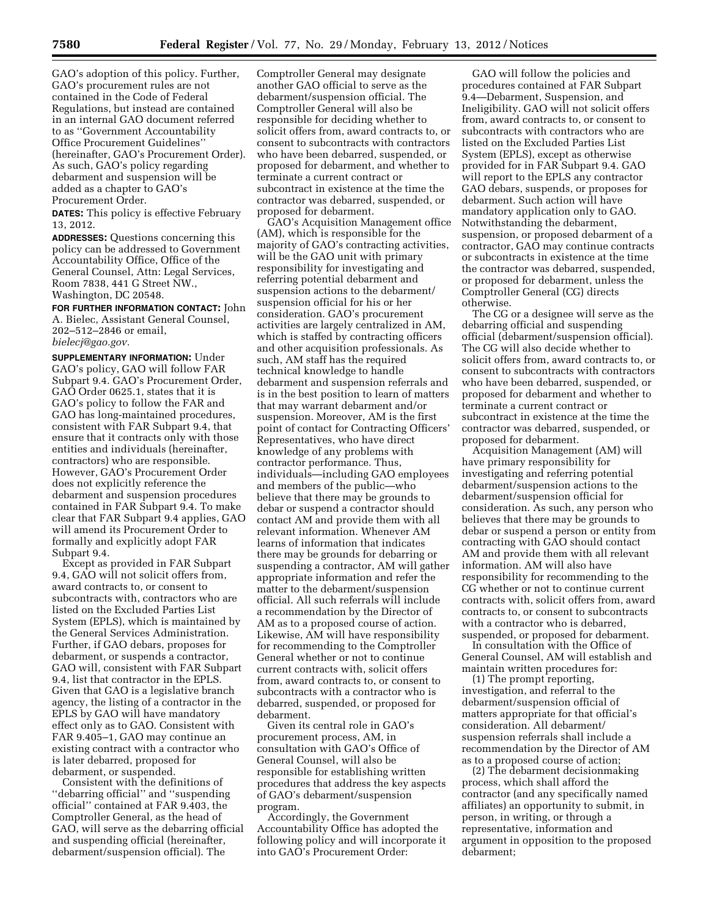GAO's adoption of this policy. Further, GAO's procurement rules are not contained in the Code of Federal Regulations, but instead are contained in an internal GAO document referred to as ''Government Accountability Office Procurement Guidelines'' (hereinafter, GAO's Procurement Order). As such, GAO's policy regarding debarment and suspension will be added as a chapter to GAO's Procurement Order.

**DATES:** This policy is effective February 13, 2012.

**ADDRESSES:** Questions concerning this policy can be addressed to Government Accountability Office, Office of the General Counsel, Attn: Legal Services, Room 7838, 441 G Street NW., Washington, DC 20548.

**FOR FURTHER INFORMATION CONTACT:** John A. Bielec, Assistant General Counsel, 202–512–2846 or email, *[bielecj@gao.gov.](mailto:bielecj@gao.gov)* 

**SUPPLEMENTARY INFORMATION:** Under GAO's policy, GAO will follow FAR Subpart 9.4. GAO's Procurement Order, GAO Order 0625.1, states that it is GAO's policy to follow the FAR and GAO has long-maintained procedures, consistent with FAR Subpart 9.4, that ensure that it contracts only with those entities and individuals (hereinafter, contractors) who are responsible. However, GAO's Procurement Order does not explicitly reference the debarment and suspension procedures contained in FAR Subpart 9.4. To make clear that FAR Subpart 9.4 applies, GAO will amend its Procurement Order to formally and explicitly adopt FAR Subpart 9.4.

Except as provided in FAR Subpart 9.4, GAO will not solicit offers from, award contracts to, or consent to subcontracts with, contractors who are listed on the Excluded Parties List System (EPLS), which is maintained by the General Services Administration. Further, if GAO debars, proposes for debarment, or suspends a contractor, GAO will, consistent with FAR Subpart 9.4, list that contractor in the EPLS. Given that GAO is a legislative branch agency, the listing of a contractor in the EPLS by GAO will have mandatory effect only as to GAO. Consistent with FAR 9.405–1, GAO may continue an existing contract with a contractor who is later debarred, proposed for debarment, or suspended.

Consistent with the definitions of ''debarring official'' and ''suspending official'' contained at FAR 9.403, the Comptroller General, as the head of GAO, will serve as the debarring official and suspending official (hereinafter, debarment/suspension official). The

Comptroller General may designate another GAO official to serve as the debarment/suspension official. The Comptroller General will also be responsible for deciding whether to solicit offers from, award contracts to, or consent to subcontracts with contractors who have been debarred, suspended, or proposed for debarment, and whether to terminate a current contract or subcontract in existence at the time the contractor was debarred, suspended, or proposed for debarment.

GAO's Acquisition Management office (AM), which is responsible for the majority of GAO's contracting activities, will be the GAO unit with primary responsibility for investigating and referring potential debarment and suspension actions to the debarment/ suspension official for his or her consideration. GAO's procurement activities are largely centralized in AM, which is staffed by contracting officers and other acquisition professionals. As such, AM staff has the required technical knowledge to handle debarment and suspension referrals and is in the best position to learn of matters that may warrant debarment and/or suspension. Moreover, AM is the first point of contact for Contracting Officers' Representatives, who have direct knowledge of any problems with contractor performance. Thus, individuals—including GAO employees and members of the public—who believe that there may be grounds to debar or suspend a contractor should contact AM and provide them with all relevant information. Whenever AM learns of information that indicates there may be grounds for debarring or suspending a contractor, AM will gather appropriate information and refer the matter to the debarment/suspension official. All such referrals will include a recommendation by the Director of AM as to a proposed course of action. Likewise, AM will have responsibility for recommending to the Comptroller General whether or not to continue current contracts with, solicit offers from, award contracts to, or consent to subcontracts with a contractor who is debarred, suspended, or proposed for debarment.

Given its central role in GAO's procurement process, AM, in consultation with GAO's Office of General Counsel, will also be responsible for establishing written procedures that address the key aspects of GAO's debarment/suspension program.

Accordingly, the Government Accountability Office has adopted the following policy and will incorporate it into GAO's Procurement Order:

GAO will follow the policies and procedures contained at FAR Subpart 9.4—Debarment, Suspension, and Ineligibility. GAO will not solicit offers from, award contracts to, or consent to subcontracts with contractors who are listed on the Excluded Parties List System (EPLS), except as otherwise provided for in FAR Subpart 9.4. GAO will report to the EPLS any contractor GAO debars, suspends, or proposes for debarment. Such action will have mandatory application only to GAO. Notwithstanding the debarment, suspension, or proposed debarment of a contractor, GAO may continue contracts or subcontracts in existence at the time the contractor was debarred, suspended, or proposed for debarment, unless the Comptroller General (CG) directs otherwise.

The CG or a designee will serve as the debarring official and suspending official (debarment/suspension official). The CG will also decide whether to solicit offers from, award contracts to, or consent to subcontracts with contractors who have been debarred, suspended, or proposed for debarment and whether to terminate a current contract or subcontract in existence at the time the contractor was debarred, suspended, or proposed for debarment.

Acquisition Management (AM) will have primary responsibility for investigating and referring potential debarment/suspension actions to the debarment/suspension official for consideration. As such, any person who believes that there may be grounds to debar or suspend a person or entity from contracting with GAO should contact AM and provide them with all relevant information. AM will also have responsibility for recommending to the CG whether or not to continue current contracts with, solicit offers from, award contracts to, or consent to subcontracts with a contractor who is debarred, suspended, or proposed for debarment.

In consultation with the Office of General Counsel, AM will establish and maintain written procedures for:

(1) The prompt reporting, investigation, and referral to the debarment/suspension official of matters appropriate for that official's consideration. All debarment/ suspension referrals shall include a recommendation by the Director of AM as to a proposed course of action;

(2) The debarment decisionmaking process, which shall afford the contractor (and any specifically named affiliates) an opportunity to submit, in person, in writing, or through a representative, information and argument in opposition to the proposed debarment;